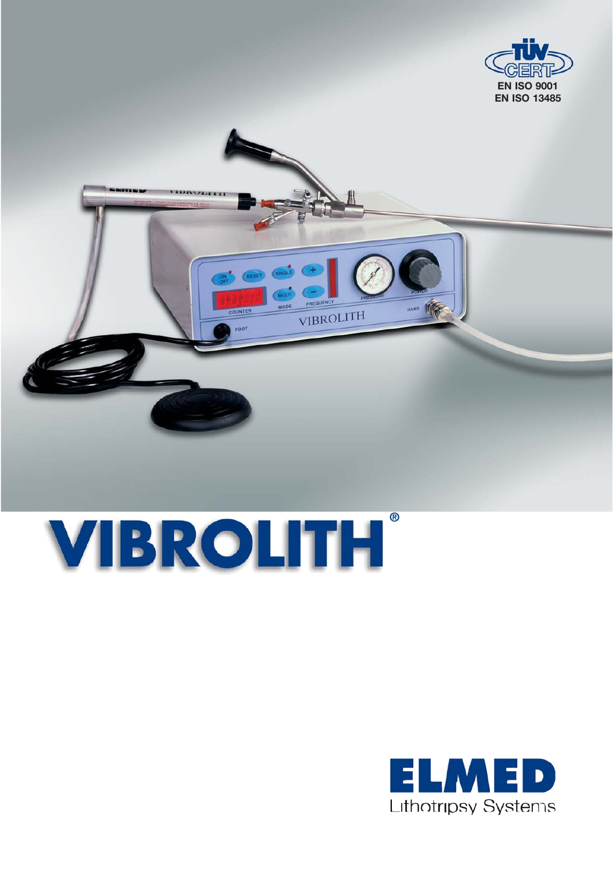



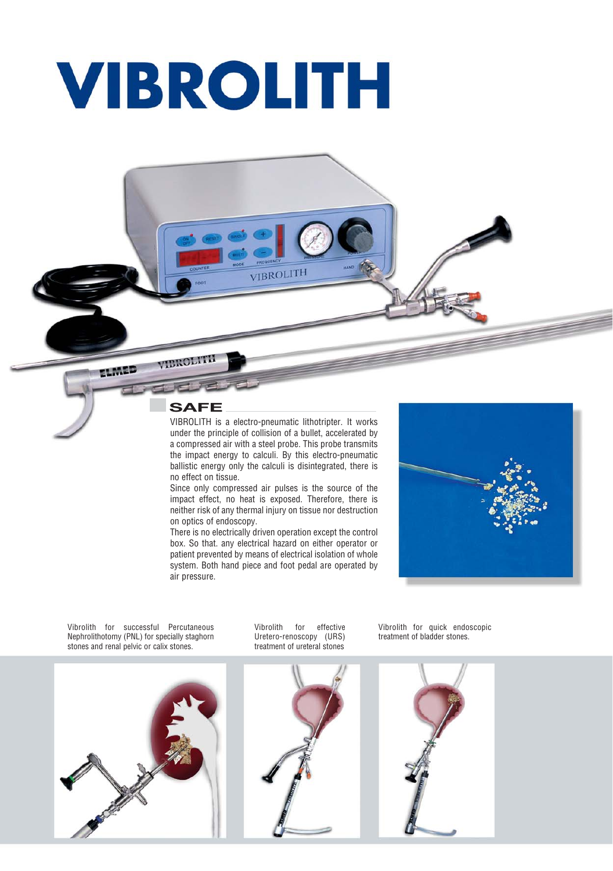## **VIBROLITH**



aroll

ELMED

VIBROLITH is a electro-pneumatic lithotripter. It works under the principle of collision of a bullet, accelerated by a compressed air with a steel probe. This probe transmits the impact energy to calculi. By this electro-pneumatic ballistic energy only the calculi is disintegrated, there is no effect on tissue.

VIBROLITH

Since only compressed air pulses is the source of the impact effect, no heat is exposed. Therefore, there is neither risk of any thermal injury on tissue nor destruction on optics of endoscopy.

There is no electrically driven operation except the control box. So that. any electrical hazard on either operator or patient prevented by means of electrical isolation of whole system. Both hand piece and foot pedal are operated by air pressure.



Vibrolith for successful Percutaneous Nephrolithotomy (PNL) for specially staghorn stones and renal pelvic or calix stones.

Vibrolith for effective Uretero-renoscopy (URS) treatment of ureteral stones







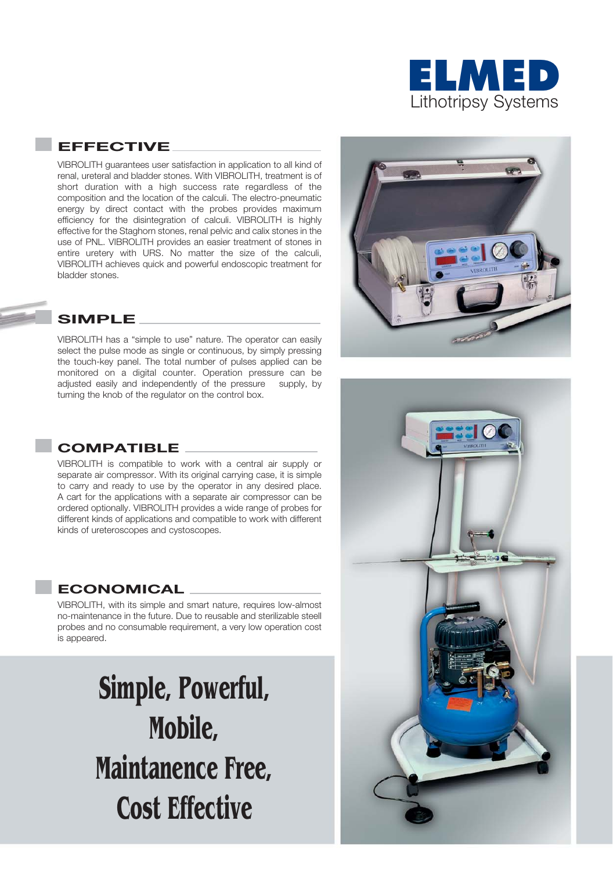

### **EFFECTIVE**

VIBROLITH guarantees user satisfaction in application to all kind of renal, ureteral and bladder stones. With VIBROLITH, treatment is of short duration with a high success rate regardless of the composition and the location of the calculi. The electro-pneumatic energy by direct contact with the probes provides maximum efficiency for the disintegration of calculi. VIBROLITH is highly effective for the Staghorn stones, renal pelvic and calix stones in the use of PNL. VIBROLITH provides an easier treatment of stones in entire uretery with URS. No matter the size of the calculi, VIBROLITH achieves quick and powerful endoscopic treatment for bladder stones.

### **SIMPLE**

VIBROLITH has a "simple to use" nature. The operator can easily select the pulse mode as single or continuous, by simply pressing the touch-key panel. The total number of pulses applied can be monitored on a digital counter. Operation pressure can be adjusted easily and independently of the pressure supply, by turning the knob of the regulator on the control box.

### **COMPATIBLE**

VIBROLITH is compatible to work with a central air supply or separate air compressor. With its original carrying case, it is simple to carry and ready to use by the operator in any desired place. A cart for the applications with a separate air compressor can be ordered optionally. VIBROLITH provides a wide range of probes for different kinds of applications and compatible to work with different kinds of ureteroscopes and cystoscopes.

#### **ECONOMICAL**

VIBROLITH, with its simple and smart nature, requires low-almost no-maintenance in the future. Due to reusable and sterilizable steell probes and no consumable requirement, a very low operation cost is appeared.

> **Simple, Powerful, Mobile, Maintanence Free, Cost Effective**